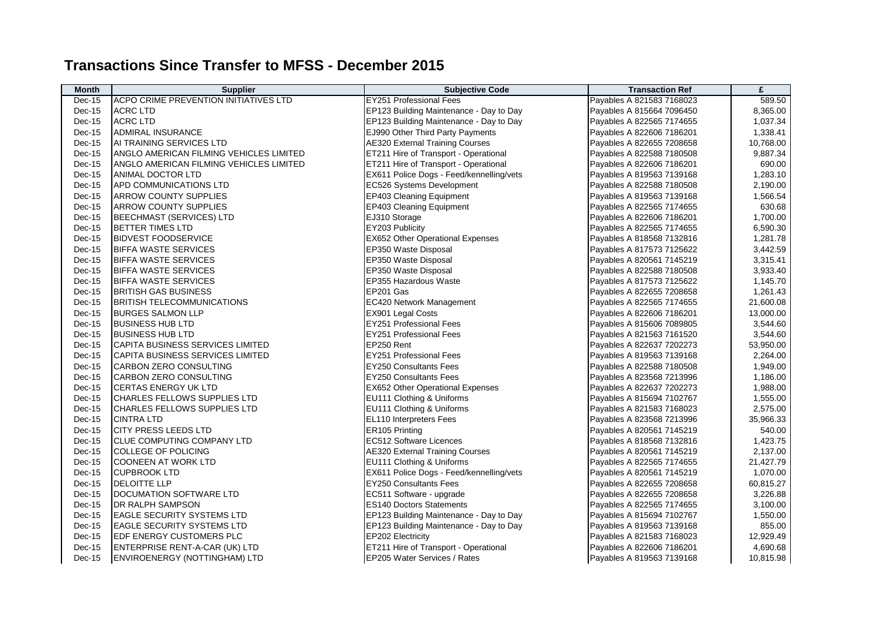## **Transactions Since Transfer to MFSS - December 2015**

| <b>Month</b> | <b>Supplier</b>                         | <b>Subjective Code</b>                   | <b>Transaction Ref</b>    | £         |
|--------------|-----------------------------------------|------------------------------------------|---------------------------|-----------|
| $Dec-15$     | ACPO CRIME PREVENTION INITIATIVES LTD   | <b>EY251 Professional Fees</b>           | Payables A 821583 7168023 | 589.50    |
| $Dec-15$     | <b>ACRC LTD</b>                         | EP123 Building Maintenance - Day to Day  | Payables A 815664 7096450 | 8,365.00  |
| Dec-15       | <b>ACRC LTD</b>                         | EP123 Building Maintenance - Day to Day  | Payables A 822565 7174655 | 1,037.34  |
| Dec-15       | ADMIRAL INSURANCE                       | EJ990 Other Third Party Payments         | Payables A 822606 7186201 | 1,338.41  |
| $Dec-15$     | AI TRAINING SERVICES LTD                | <b>AE320 External Training Courses</b>   | Payables A 822655 7208658 | 10,768.00 |
| Dec-15       | ANGLO AMERICAN FILMING VEHICLES LIMITED | ET211 Hire of Transport - Operational    | Payables A 822588 7180508 | 9,887.34  |
| Dec-15       | ANGLO AMERICAN FILMING VEHICLES LIMITED | ET211 Hire of Transport - Operational    | Payables A 822606 7186201 | 690.00    |
| Dec-15       | ANIMAL DOCTOR LTD                       | EX611 Police Dogs - Feed/kennelling/vets | Payables A 819563 7139168 | 1,283.10  |
| Dec-15       | APD COMMUNICATIONS LTD                  | EC526 Systems Development                | Payables A 822588 7180508 | 2,190.00  |
| Dec-15       | <b>ARROW COUNTY SUPPLIES</b>            | EP403 Cleaning Equipment                 | Payables A 819563 7139168 | 1,566.54  |
| Dec-15       | <b>ARROW COUNTY SUPPLIES</b>            | EP403 Cleaning Equipment                 | Payables A 822565 7174655 | 630.68    |
| Dec-15       | <b>BEECHMAST (SERVICES) LTD</b>         | EJ310 Storage                            | Payables A 822606 7186201 | 1,700.00  |
| Dec-15       | <b>BETTER TIMES LTD</b>                 | EY203 Publicity                          | Payables A 822565 7174655 | 6,590.30  |
| Dec-15       | <b>BIDVEST FOODSERVICE</b>              | EX652 Other Operational Expenses         | Payables A 818568 7132816 | 1,281.78  |
| Dec-15       | <b>BIFFA WASTE SERVICES</b>             | EP350 Waste Disposal                     | Payables A 817573 7125622 | 3,442.59  |
| Dec-15       | <b>BIFFA WASTE SERVICES</b>             | EP350 Waste Disposal                     | Payables A 820561 7145219 | 3,315.41  |
| Dec-15       | <b>BIFFA WASTE SERVICES</b>             | EP350 Waste Disposal                     | Payables A 822588 7180508 | 3,933.40  |
| Dec-15       | <b>BIFFA WASTE SERVICES</b>             | EP355 Hazardous Waste                    | Payables A 817573 7125622 | 1,145.70  |
| Dec-15       | <b>BRITISH GAS BUSINESS</b>             | EP201 Gas                                | Payables A 822655 7208658 | 1,261.43  |
| Dec-15       | <b>BRITISH TELECOMMUNICATIONS</b>       | EC420 Network Management                 | Payables A 822565 7174655 | 21,600.08 |
| Dec-15       | <b>BURGES SALMON LLP</b>                | EX901 Legal Costs                        | Payables A 822606 7186201 | 13,000.00 |
| Dec-15       | <b>BUSINESS HUB LTD</b>                 | <b>EY251 Professional Fees</b>           | Payables A 815606 7089805 | 3,544.60  |
| $Dec-15$     | <b>BUSINESS HUB LTD</b>                 | <b>EY251 Professional Fees</b>           | Payables A 821563 7161520 | 3,544.60  |
| Dec-15       | CAPITA BUSINESS SERVICES LIMITED        | EP250 Rent                               | Payables A 822637 7202273 | 53,950.00 |
| Dec-15       | <b>CAPITA BUSINESS SERVICES LIMITED</b> | <b>EY251 Professional Fees</b>           | Payables A 819563 7139168 | 2,264.00  |
| $Dec-15$     | <b>CARBON ZERO CONSULTING</b>           | <b>EY250 Consultants Fees</b>            | Payables A 822588 7180508 | 1,949.00  |
| Dec-15       | <b>CARBON ZERO CONSULTING</b>           | <b>EY250 Consultants Fees</b>            | Payables A 823568 7213996 | 1,186.00  |
| $Dec-15$     | ICERTAS ENERGY UK LTD                   | EX652 Other Operational Expenses         | Payables A 822637 7202273 | 1,988.00  |
| Dec-15       | <b>CHARLES FELLOWS SUPPLIES LTD</b>     | EU111 Clothing & Uniforms                | Payables A 815694 7102767 | 1,555.00  |
| Dec-15       | CHARLES FELLOWS SUPPLIES LTD            | EU111 Clothing & Uniforms                | Payables A 821583 7168023 | 2,575.00  |
| $Dec-15$     | <b>CINTRA LTD</b>                       | EL110 Interpreters Fees                  | Payables A 823568 7213996 | 35,966.33 |
| Dec-15       | <b>CITY PRESS LEEDS LTD</b>             | ER105 Printing                           | Payables A 820561 7145219 | 540.00    |
| Dec-15       | CLUE COMPUTING COMPANY LTD              | EC512 Software Licences                  | Payables A 818568 7132816 | 1,423.75  |
| $Dec-15$     | COLLEGE OF POLICING                     | <b>AE320 External Training Courses</b>   | Payables A 820561 7145219 | 2,137.00  |
| Dec-15       | <b>COONEEN AT WORK LTD</b>              | EU111 Clothing & Uniforms                | Payables A 822565 7174655 | 21,427.79 |
| Dec-15       | <b>CUPBROOK LTD</b>                     | EX611 Police Dogs - Feed/kennelling/vets | Payables A 820561 7145219 | 1,070.00  |
| $Dec-15$     | <b>IDELOITTE LLP</b>                    | <b>EY250 Consultants Fees</b>            | Payables A 822655 7208658 | 60,815.27 |
| Dec-15       | DOCUMATION SOFTWARE LTD                 | EC511 Software - upgrade                 | Payables A 822655 7208658 | 3,226.88  |
| Dec-15       | DR RALPH SAMPSON                        | <b>ES140 Doctors Statements</b>          | Payables A 822565 7174655 | 3,100.00  |
| $Dec-15$     | <b>EAGLE SECURITY SYSTEMS LTD</b>       | EP123 Building Maintenance - Day to Day  | Payables A 815694 7102767 | 1,550.00  |
| Dec-15       | <b>EAGLE SECURITY SYSTEMS LTD</b>       | EP123 Building Maintenance - Day to Day  | Payables A 819563 7139168 | 855.00    |
| $Dec-15$     | <b>EDF ENERGY CUSTOMERS PLC</b>         | EP202 Electricity                        | Payables A 821583 7168023 | 12,929.49 |
| Dec-15       | ENTERPRISE RENT-A-CAR (UK) LTD          | ET211 Hire of Transport - Operational    | Payables A 822606 7186201 | 4,690.68  |
| $Dec-15$     | ENVIROENERGY (NOTTINGHAM) LTD           | EP205 Water Services / Rates             | Payables A 819563 7139168 | 10,815.98 |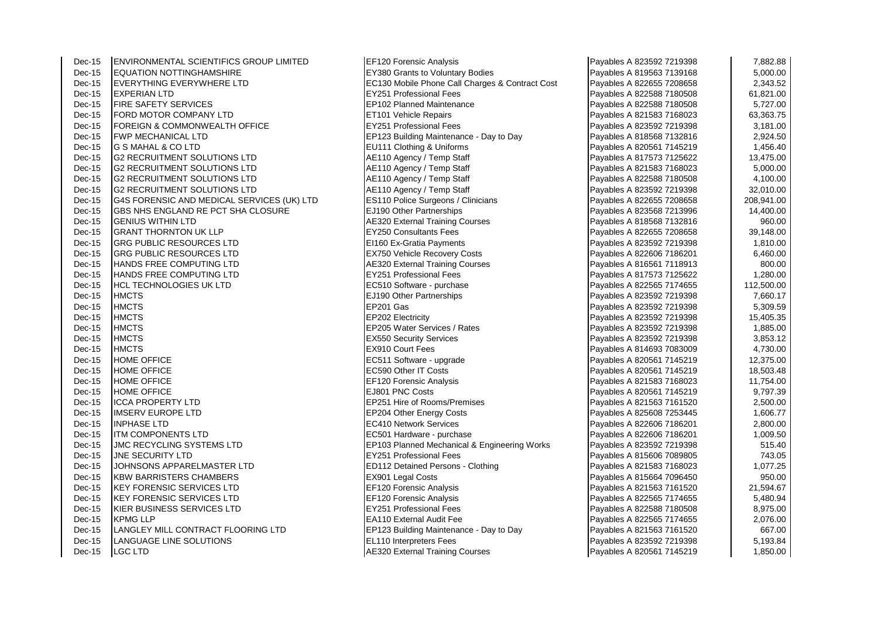| $Dec-15$ | <b>ENVIRONMENTAL SCIENTIFICS GROUP LIMITED</b> | <b>EF120 Forensic Analysis</b>                  | Payables A 823592 7219398 | 7,882.88   |
|----------|------------------------------------------------|-------------------------------------------------|---------------------------|------------|
| Dec-15   | <b>EQUATION NOTTINGHAMSHIRE</b>                | <b>EY380 Grants to Voluntary Bodies</b>         | Payables A 819563 7139168 | 5,000.00   |
| Dec-15   | <b>EVERYTHING EVERYWHERE LTD</b>               | EC130 Mobile Phone Call Charges & Contract Cost | Payables A 822655 7208658 | 2,343.52   |
| Dec-15   | <b>EXPERIAN LTD</b>                            | <b>EY251 Professional Fees</b>                  | Payables A 822588 7180508 | 61,821.00  |
| Dec-15   | <b>FIRE SAFETY SERVICES</b>                    | EP102 Planned Maintenance                       | Payables A 822588 7180508 | 5,727.00   |
| Dec-15   | FORD MOTOR COMPANY LTD                         | ET101 Vehicle Repairs                           | Payables A 821583 7168023 | 63,363.75  |
| Dec-15   | <b>FOREIGN &amp; COMMONWEALTH OFFICE</b>       | <b>EY251 Professional Fees</b>                  | Payables A 823592 7219398 | 3,181.00   |
| Dec-15   | <b>FWP MECHANICAL LTD</b>                      | EP123 Building Maintenance - Day to Day         | Payables A 818568 7132816 | 2,924.50   |
| Dec-15   | G S MAHAL & CO LTD                             | EU111 Clothing & Uniforms                       | Payables A 820561 7145219 | 1,456.40   |
| Dec-15   | <b>G2 RECRUITMENT SOLUTIONS LTD</b>            | AE110 Agency / Temp Staff                       | Payables A 817573 7125622 | 13,475.00  |
| Dec-15   | <b>G2 RECRUITMENT SOLUTIONS LTD</b>            | AE110 Agency / Temp Staff                       | Payables A 821583 7168023 | 5,000.00   |
| Dec-15   | <b>G2 RECRUITMENT SOLUTIONS LTD</b>            | AE110 Agency / Temp Staff                       | Payables A 822588 7180508 | 4,100.00   |
| Dec-15   | <b>G2 RECRUITMENT SOLUTIONS LTD</b>            | AE110 Agency / Temp Staff                       | Payables A 823592 7219398 | 32,010.00  |
| Dec-15   | G4S FORENSIC AND MEDICAL SERVICES (UK) LTD     | <b>ES110 Police Surgeons / Clinicians</b>       | Payables A 822655 7208658 | 208,941.00 |
| Dec-15   | GBS NHS ENGLAND RE PCT SHA CLOSURE             | EJ190 Other Partnerships                        | Payables A 823568 7213996 | 14,400.00  |
| Dec-15   | <b>GENIUS WITHIN LTD</b>                       | <b>AE320 External Training Courses</b>          | Payables A 818568 7132816 | 960.00     |
| Dec-15   | <b>GRANT THORNTON UK LLP</b>                   | <b>EY250 Consultants Fees</b>                   | Payables A 822655 7208658 | 39,148.00  |
| Dec-15   | GRG PUBLIC RESOURCES LTD                       | EI160 Ex-Gratia Payments                        | Payables A 823592 7219398 | 1,810.00   |
| Dec-15   | <b>GRG PUBLIC RESOURCES LTD</b>                | <b>EX750 Vehicle Recovery Costs</b>             | Payables A 822606 7186201 | 6,460.00   |
| Dec-15   | HANDS FREE COMPUTING LTD                       | <b>AE320 External Training Courses</b>          | Payables A 816561 7118913 | 800.00     |
| Dec-15   | HANDS FREE COMPUTING LTD                       | <b>EY251 Professional Fees</b>                  | Payables A 817573 7125622 | 1,280.00   |
| Dec-15   | <b>HCL TECHNOLOGIES UK LTD</b>                 | EC510 Software - purchase                       | Payables A 822565 7174655 | 112,500.00 |
| Dec-15   | <b>HMCTS</b>                                   | EJ190 Other Partnerships                        | Payables A 823592 7219398 | 7,660.17   |
| Dec-15   | <b>HMCTS</b>                                   | EP201 Gas                                       | Payables A 823592 7219398 | 5,309.59   |
| Dec-15   | <b>HMCTS</b>                                   | EP202 Electricity                               | Payables A 823592 7219398 | 15,405.35  |
| Dec-15   | <b>HMCTS</b>                                   | EP205 Water Services / Rates                    | Payables A 823592 7219398 | 1,885.00   |
| Dec-15   | <b>HMCTS</b>                                   | <b>EX550 Security Services</b>                  | Payables A 823592 7219398 | 3,853.12   |
| Dec-15   | <b>HMCTS</b>                                   | <b>EX910 Court Fees</b>                         | Payables A 814693 7083009 | 4,730.00   |
| Dec-15   | <b>HOME OFFICE</b>                             | EC511 Software - upgrade                        | Payables A 820561 7145219 | 12,375.00  |
| Dec-15   | <b>HOME OFFICE</b>                             | EC590 Other IT Costs                            | Payables A 820561 7145219 | 18,503.48  |
| Dec-15   | <b>HOME OFFICE</b>                             | EF120 Forensic Analysis                         | Payables A 821583 7168023 | 11,754.00  |
| Dec-15   | <b>HOME OFFICE</b>                             | EJ801 PNC Costs                                 | Payables A 820561 7145219 | 9,797.39   |
| Dec-15   | <b>ICCA PROPERTY LTD</b>                       | <b>EP251 Hire of Rooms/Premises</b>             | Payables A 821563 7161520 | 2,500.00   |
| Dec-15   | <b>IMSERV EUROPE LTD</b>                       | <b>EP204 Other Energy Costs</b>                 | Payables A 825608 7253445 | 1,606.77   |
| Dec-15   | <b>INPHASE LTD</b>                             | EC410 Network Services                          | Payables A 822606 7186201 | 2,800.00   |
| Dec-15   | <b>ITM COMPONENTS LTD</b>                      | EC501 Hardware - purchase                       | Payables A 822606 7186201 | 1,009.50   |
| Dec-15   | <b>JMC RECYCLING SYSTEMS LTD</b>               | EP103 Planned Mechanical & Engineering Works    | Payables A 823592 7219398 | 515.40     |
| Dec-15   | JNE SECURITY LTD                               | <b>EY251 Professional Fees</b>                  | Payables A 815606 7089805 | 743.05     |
| Dec-15   | JOHNSONS APPARELMASTER LTD                     | ED112 Detained Persons - Clothing               | Payables A 821583 7168023 | 1,077.25   |
| Dec-15   | <b>KBW BARRISTERS CHAMBERS</b>                 | <b>EX901 Legal Costs</b>                        | Payables A 815664 7096450 | 950.00     |
| Dec-15   | KEY FORENSIC SERVICES LTD                      | EF120 Forensic Analysis                         | Payables A 821563 7161520 | 21,594.67  |
| Dec-15   | <b>KEY FORENSIC SERVICES LTD</b>               | EF120 Forensic Analysis                         | Payables A 822565 7174655 | 5,480.94   |
| Dec-15   | KIER BUSINESS SERVICES LTD                     | <b>EY251 Professional Fees</b>                  | Payables A 822588 7180508 | 8,975.00   |
| Dec-15   | <b>KPMG LLP</b>                                | EA110 External Audit Fee                        | Payables A 822565 7174655 | 2,076.00   |
| Dec-15   | LANGLEY MILL CONTRACT FLOORING LTD             | EP123 Building Maintenance - Day to Day         | Payables A 821563 7161520 | 667.00     |
| Dec-15   | LANGUAGE LINE SOLUTIONS                        | <b>EL110 Interpreters Fees</b>                  | Payables A 823592 7219398 | 5,193.84   |
| Dec-15   | LGC LTD                                        | <b>AE320 External Training Courses</b>          | Payables A 820561 7145219 | 1,850.00   |

| Payables A 823592 7219398 | 7,882.88   |
|---------------------------|------------|
| Payables A 819563 7139168 | 5,000.00   |
| Payables A 822655 7208658 | 2,343.52   |
| Payables A 822588 7180508 | 61,821.00  |
| Payables A 822588 7180508 | 5,727.00   |
| Payables A 821583 7168023 | 63,363.75  |
| Payables A 823592 7219398 | 3,181.00   |
| Payables A 818568 7132816 | 2,924.50   |
| Payables A 820561 7145219 | 1,456.40   |
| Payables A 817573 7125622 | 13,475.00  |
| Payables A 821583 7168023 | 5,000.00   |
| Payables A 822588 7180508 | 4,100.00   |
| Payables A 823592 7219398 | 32,010.00  |
| Payables A 822655 7208658 | 208,941.00 |
| Payables A 823568 7213996 | 14,400.00  |
| Payables A 818568 7132816 | 960.00     |
| Payables A 822655 7208658 | 39,148.00  |
| Payables A 823592 7219398 | 1,810.00   |
| Payables A 822606 7186201 | 6,460.00   |
| Payables A 816561 7118913 | 800.00     |
| Payables A 817573 7125622 | 1,280.00   |
| Payables A 822565 7174655 | 112,500.00 |
| Payables A 823592 7219398 | 7,660.17   |
| Payables A 823592 7219398 | 5,309.59   |
| Payables A 823592 7219398 | 15,405.35  |
| Payables A 823592 7219398 | 1,885.00   |
| Payables A 823592 7219398 | 3,853.12   |
| Payables A 814693 7083009 | 4,730.00   |
| Payables A 820561 7145219 | 12,375.00  |
| Payables A 820561 7145219 | 18,503.48  |
| Payables A 821583 7168023 | 11,754.00  |
| Payables A 820561 7145219 | 9,797.39   |
| Payables A 821563 7161520 | 2,500.00   |
| Payables A 825608 7253445 | 1,606.77   |
| Payables A 822606 7186201 | 2,800.00   |
| Payables A 822606 7186201 | 1,009.50   |
| Payables A 823592 7219398 | 515.40     |
| Payables A 815606 7089805 | 743.05     |
| Payables A 821583 7168023 | 1,077.25   |
| Payables A 815664 7096450 | 950.00     |
| Payables A 821563 7161520 | 21,594.67  |
| Payables A 822565 7174655 | 5,480.94   |
| Payables A 822588 7180508 | 8,975.00   |
| Payables A 822565 7174655 | 2,076.00   |
| Payables A 821563 7161520 | 667.00     |
| Payables A 823592 7219398 | 5,193.84   |
| Payables A 820561 7145219 | 1,850.00   |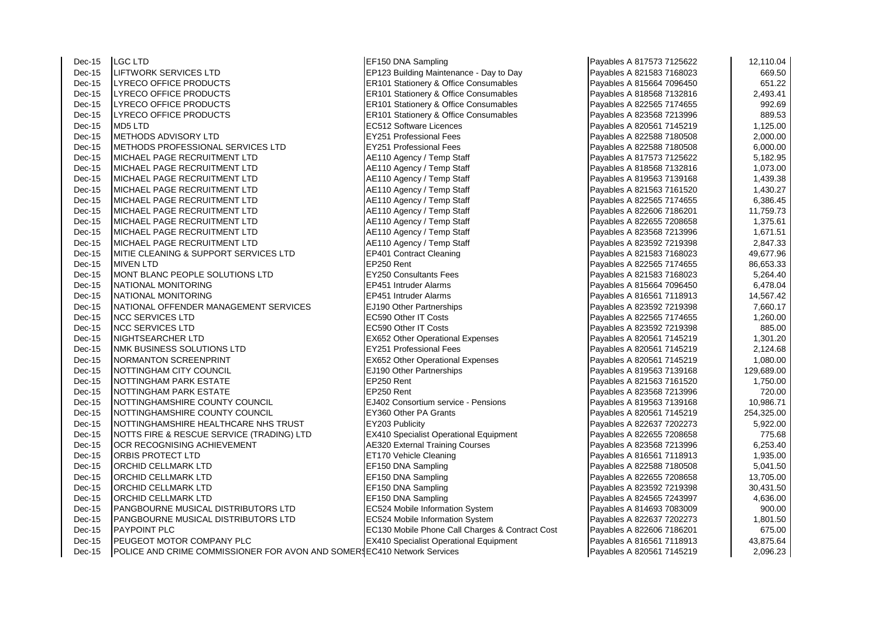Dec-15 LGC LTD EF150 DNA Sampling Payables A 817573 7125622 12,110.04 Dec-15 LIFTWORK SERVICES LTD EP123 Building Maintenance - Day to Day Dec-15 LYRECO OFFICE PRODUCTS ERGISTIC RESOLUTION RESOLUTION STATISTIC PAYABLES PAYABLES PAYABLES A 815664 7096 Dec-15 LYRECO OFFICE PRODUCTS ERGISTIC RESOLUTION RESOLUTION RESOLUTION RESOLUTION RESOLUTION RESOLUTION RESOLU Dec-15 LYRECO OFFICE PRODUCTS ER101 Stationery & Office Consumables Dec-15 LYRECO OFFICE PRODUCTS ERICLE RELATION Stationery & Office Consumables Dec-15 MD5 LTD EC512 Software Licences<br>
Dec-15 METHODS ADVISORY LTD EXECUTE RESERVED BY PROFESSIONAL Fees Dec-15 METHODS ADVISORY LTD<br>
Dec-15 METHODS PROFESSIONAL SERVICES LTD EY251 Professional Fees Dec-15 METHODS PROFESSIONAL SERVICES LTD Dec-15 MICHAEL PAGE RECRUITMENT LTD AE110 Agency / Temp Staff Dec-15 MICHAEL PAGE RECRUITMENT LTD Agency / Temp Staff Payables A 81856 7132816 1,087.000 1,087.000 Dec-15 MICHAEL PAGE RECRUITMENT LTD  $\begin{array}{c|c}\n\text{Dec-15} & \text{MICHAEL PAGE RECRUITHENT LTD} \\
\text{Dec-15} & \text{MICHAEL PAGE RECRUITHENT LTD}\n\end{array}$ Dec-15 MICHAEL PAGE RECRUITMENT LTD  $\begin{array}{c|c}\n\text{Dec-15} & \text{MICHAEL PAGE RECRUITMENT LTD}\n\end{array}$  AE110 Agency / Temp Staff MICHAEL PAGE RECRUITMENT LTD Dec-15 MICHAEL PAGE RECRUITMENT LTD **AE110 Agency / Temp Staff Payable Rec**ruit Medicines A 822606 7186201 11,7<br>Dec-15 MICHAEL PAGE RECRUITMENT LTD **AE110 Agency / Temp Staff** MICHAEL PAGE RECRUITMENT LTD Dec-15 MICHAEL PAGE RECRUITMENT LTD AE110 Agency / Temp Staff Dec-15 MICHAEL PAGE RECRUITMENT LTD **AE110 Agency / Temp Staff** Payable Payable Payables A 823592 721939 Payables A<br>
Rec-15 MITIE CLEANING & SUPPORT SERVICES LTD MITIE CLEANING & SUPPORT SERVICES LTD Dec-15 MIVEN LTD EP250 Rent Payables A 822565 7174655 86,653.33 Dec-15 MONT BLANC PEOPLE SOLUTIONS LTD **EX250 Consultants Fees** Dec-15 NATIONAL MONITORING EP451 Intruder Alarms Dec-15 NATIONAL MONITORING EP451 Intruder Alarms Dec-15 NATIONAL OFFENDER MANAGEMENT SERVICES **EXAMPLE** 190 Other Partnerships Dec-15 NCC SERVICES LTD EC590 Other IT Costs Payables A 822565 7174655 1,260.00 Dec-15 NCC SERVICES LTD EC590 Other IT Costs Payables A 823592 7219398 885.00 Dec-15 NIGHTSEARCHER LTD EX652 Other Operational Expenses Dec-15 **INMK BUSINESS SOLUTIONS LTD** EXAMPLE **INVESTIGATION EXAMPLE PROPERTY** Dec-15 NORMANTON SCREENPRINT EX652 Other Operational Expenses Dec-15 NOTTINGHAM CITY COUNCIL **EJ190** Other Partnerships Pac-15 NOTTINGHAM PARK ESTATE Dec-15 NOTTINGHAM PARK ESTATE Dec-15 NOTTINGHAM PARK ESTATE EP250 Rent Dec-15 NOTTINGHAMSHIRE COUNTY COUNCIL **EJ402** Consortium service - Pensions Dec-15 **NOTTINGHAMSHIRE COUNTY COUNCIL** EY360 Other PA Grants Dec-15 NOTTINGHAMSHIRE HEALTHCARE NHS TRUST **EY203** Publicity<br>Dec-15 NOTTS FIRE & RESCUE SERVICE (TRADING) LTD **EX410** Specialist Operational Equipment Dec-15 NOTTS FIRE & RESCUE SERVICE (TRADING) LTD Dec-15 OCR RECOGNISING ACHIEVEMENT And AE320 External Training Courses Dec-15 ORBIS PROTECT LTD ET170 Vehicle Cleaning Dec-15 ORCHID CELLMARK LTD EF150 DNA Sampling Dec-15 ORCHID CELLMARK LTD EF150 DNA Sampling Payables A 822655 7208658 13,705.00 ORCHID CELLMARK LTD Dec-15 ORCHID CELLMARK LTD EXAMPLE RESERVE THE RESERVE REFT SO DNA Sampling Dec-15 PANGBOURNE MUSICAL DISTRIBUTORS LTD **EC524** Mobile Information System Dec-15 **PANGBOURNE MUSICAL DISTRIBUTORS LTD EC524 Mobile Information System** Dec-15 PAYPOINT PLC **Decamber 2006** FOR REC130 Mobile Phone Call Charges & Contract Cost Dec-15 PEUGEOT MOTOR COMPANY PLC EX410 Specialist Operational Equipment Dec-15 POLICE AND CRIME COMMISSIONER FOR AVON AND SOMERSEC410 Network Services

| Payables A 817573 7125622                              | 12,110.04              |
|--------------------------------------------------------|------------------------|
| Payables A 821583 7168023                              | 669.50                 |
| Payables A 815664 7096450                              | 651.22                 |
| Payables A 818568 7132816                              | 2,493.41               |
| Payables A 822565 7174655                              | 992.69                 |
| Payables A 823568 7213996                              | 889.53                 |
| Payables A 820561 7145219                              | 1,125.00               |
| Payables A 822588 7180508                              | 2,000.00               |
| Payables A 822588 7180508                              | 6,000.00               |
| Payables A 817573 7125622                              | 5,182.95               |
| Payables A 818568 7132816                              | 1,073.00               |
| Payables A 819563 7139168                              | 1,439.38               |
| Payables A 821563 7161520                              | 1,430.27               |
| Payables A 822565 7174655                              | 6,386.45               |
| Payables A 822606 7186201                              | 11,759.73              |
| Payables A 822655 7208658                              | 1,375.61               |
| Payables A 823568 7213996                              | 1,671.51               |
| Payables A 823592 7219398                              | 2,847.33               |
| Payables A 821583 7168023                              | 49,677.96              |
| Payables A 822565 7174655                              | 86,653.33              |
| Payables A 821583 7168023                              | 5,264.40               |
| Payables A 815664 7096450                              | 6,478.04               |
| Payables A 816561 7118913                              | 14,567.42              |
| Payables A 823592 7219398                              | 7,660.17               |
| Payables A 822565 7174655                              | 1,260.00               |
| Payables A 823592 7219398                              | 885.00                 |
| Payables A 820561 7145219                              | 1,301.20               |
| Payables A 820561 7145219                              | 2,124.68               |
| Payables A 820561 7145219                              | 1,080.00               |
| Payables A 819563 7139168<br>Payables A 821563 7161520 | 129,689.00<br>1,750.00 |
| Payables A 823568 7213996                              | 720.00                 |
| Payables A 819563 7139168                              | 10,986.71              |
| Payables A 820561 7145219                              | 254,325.00             |
| Payables A 822637 7202273                              | 5,922.00               |
| Payables A 822655 7208658                              | 775.68                 |
| Payables A 823568 7213996                              | 6,253.40               |
| Payables A 816561 7118913                              | 1,935.00               |
| Payables A 822588 7180508                              | 5,041.50               |
| Payables A 822655 7208658                              | 13,705.00              |
| Payables A 823592 7219398                              | 30,431.50              |
| Payables A 824565 7243997                              | 4,636.00               |
| Payables A 814693 7083009                              | 900.00                 |
| Payables A 822637 7202273                              | 1,801.50               |
| Payables A 822606 7186201                              | 675.00                 |
| Payables A 816561 7118913                              | 43,875.64              |
| Pavables A 820561 7145219                              | 2.096.23               |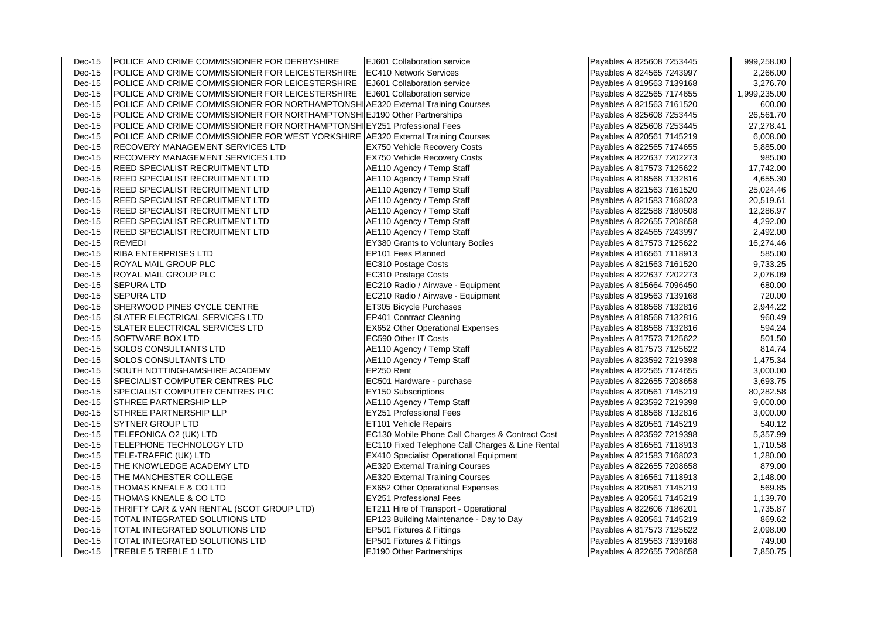| $Dec-15$ | <b>POLICE AND CRIME COMMISSIONER FOR DERBYSHIRE</b>                               | EJ601 Collaboration service                      | Payables A 825608 7253445 | 999,258.00   |
|----------|-----------------------------------------------------------------------------------|--------------------------------------------------|---------------------------|--------------|
| $Dec-15$ | POLICE AND CRIME COMMISSIONER FOR LEICESTERSHIRE                                  | <b>EC410 Network Services</b>                    | Payables A 824565 7243997 | 2,266.00     |
| $Dec-15$ | POLICE AND CRIME COMMISSIONER FOR LEICESTERSHIRE                                  | EJ601 Collaboration service                      | Payables A 819563 7139168 | 3,276.70     |
| Dec-15   | POLICE AND CRIME COMMISSIONER FOR LEICESTERSHIRE                                  | <b>EJ601 Collaboration service</b>               | Payables A 822565 7174655 | 1,999,235.00 |
| $Dec-15$ | POLICE AND CRIME COMMISSIONER FOR NORTHAMPTONSHI AE320 External Training Courses  |                                                  | Payables A 821563 7161520 | 600.00       |
| Dec-15   | POLICE AND CRIME COMMISSIONER FOR NORTHAMPTONSHILLJ190 Other Partnerships         |                                                  | Payables A 825608 7253445 | 26,561.70    |
| Dec-15   | POLICE AND CRIME COMMISSIONER FOR NORTHAMPTONSHI EY251 Professional Fees          |                                                  | Payables A 825608 7253445 | 27,278.41    |
| $Dec-15$ | POLICE AND CRIME COMMISSIONER FOR WEST YORKSHIRE A E320 External Training Courses |                                                  | Payables A 820561 7145219 | 6,008.00     |
| $Dec-15$ | RECOVERY MANAGEMENT SERVICES LTD                                                  | <b>EX750 Vehicle Recovery Costs</b>              | Payables A 822565 7174655 | 5,885.00     |
| $Dec-15$ | RECOVERY MANAGEMENT SERVICES LTD                                                  | <b>EX750 Vehicle Recovery Costs</b>              | Payables A 822637 7202273 | 985.00       |
| $Dec-15$ | <b>REED SPECIALIST RECRUITMENT LTD</b>                                            | AE110 Agency / Temp Staff                        | Payables A 817573 7125622 | 17,742.00    |
| $Dec-15$ | REED SPECIALIST RECRUITMENT LTD                                                   | AE110 Agency / Temp Staff                        | Payables A 818568 7132816 | 4,655.30     |
| $Dec-15$ | <b>REED SPECIALIST RECRUITMENT LTD</b>                                            | AE110 Agency / Temp Staff                        | Payables A 821563 7161520 | 25,024.46    |
| Dec-15   | <b>REED SPECIALIST RECRUITMENT LTD</b>                                            | AE110 Agency / Temp Staff                        | Payables A 821583 7168023 | 20,519.61    |
| $Dec-15$ | <b>REED SPECIALIST RECRUITMENT LTD</b>                                            | AE110 Agency / Temp Staff                        | Payables A 822588 7180508 | 12,286.97    |
| Dec-15   | <b>REED SPECIALIST RECRUITMENT LTD</b>                                            | AE110 Agency / Temp Staff                        | Payables A 822655 7208658 | 4,292.00     |
| $Dec-15$ | <b>REED SPECIALIST RECRUITMENT LTD</b>                                            | AE110 Agency / Temp Staff                        | Payables A 824565 7243997 | 2,492.00     |
| $Dec-15$ | <b>REMEDI</b>                                                                     | EY380 Grants to Voluntary Bodies                 | Payables A 817573 7125622 | 16,274.46    |
| Dec-15   | <b>RIBA ENTERPRISES LTD</b>                                                       | EP101 Fees Planned                               | Payables A 816561 7118913 | 585.00       |
| $Dec-15$ | ROYAL MAIL GROUP PLC                                                              | EC310 Postage Costs                              | Payables A 821563 7161520 | 9,733.25     |
| Dec-15   | ROYAL MAIL GROUP PLC                                                              | EC310 Postage Costs                              | Payables A 822637 7202273 | 2,076.09     |
| Dec-15   | <b>SEPURA LTD</b>                                                                 | EC210 Radio / Airwave - Equipment                | Payables A 815664 7096450 | 680.00       |
| $Dec-15$ | <b>SEPURA LTD</b>                                                                 | EC210 Radio / Airwave - Equipment                | Payables A 819563 7139168 | 720.00       |
| Dec-15   | SHERWOOD PINES CYCLE CENTRE                                                       | ET305 Bicycle Purchases                          | Payables A 818568 7132816 | 2,944.22     |
| $Dec-15$ | <b>SLATER ELECTRICAL SERVICES LTD</b>                                             | EP401 Contract Cleaning                          | Payables A 818568 7132816 | 960.49       |
| $Dec-15$ | <b>SLATER ELECTRICAL SERVICES LTD</b>                                             | <b>EX652 Other Operational Expenses</b>          | Payables A 818568 7132816 | 594.24       |
| Dec-15   | <b>SOFTWARE BOX LTD</b>                                                           | EC590 Other IT Costs                             | Payables A 817573 7125622 | 501.50       |
| Dec-15   | <b>SOLOS CONSULTANTS LTD</b>                                                      | AE110 Agency / Temp Staff                        | Payables A 817573 7125622 | 814.74       |
| Dec-15   | SOLOS CONSULTANTS LTD                                                             | AE110 Agency / Temp Staff                        | Payables A 823592 7219398 | 1,475.34     |
| $Dec-15$ | SOUTH NOTTINGHAMSHIRE ACADEMY                                                     | EP250 Rent                                       | Payables A 822565 7174655 | 3,000.00     |
| Dec-15   | SPECIALIST COMPUTER CENTRES PLC                                                   | EC501 Hardware - purchase                        | Payables A 822655 7208658 | 3,693.75     |
| $Dec-15$ | SPECIALIST COMPUTER CENTRES PLC                                                   | EY150 Subscriptions                              | Payables A 820561 7145219 | 80,282.58    |
| $Dec-15$ | <b>STHREE PARTNERSHIP LLP</b>                                                     | AE110 Agency / Temp Staff                        | Payables A 823592 7219398 | 9,000.00     |
| $Dec-15$ | <b>STHREE PARTNERSHIP LLP</b>                                                     | <b>EY251 Professional Fees</b>                   | Payables A 818568 7132816 | 3,000.00     |
| $Dec-15$ | <b>SYTNER GROUP LTD</b>                                                           | <b>ET101 Vehicle Repairs</b>                     | Payables A 820561 7145219 | 540.12       |
| Dec-15   | TELEFONICA O2 (UK) LTD                                                            | EC130 Mobile Phone Call Charges & Contract Cost  | Payables A 823592 7219398 | 5,357.99     |
| Dec-15   | TELEPHONE TECHNOLOGY LTD                                                          | EC110 Fixed Telephone Call Charges & Line Rental | Payables A 816561 7118913 | 1,710.58     |
| Dec-15   | TELE-TRAFFIC (UK) LTD                                                             | <b>EX410 Specialist Operational Equipment</b>    | Payables A 821583 7168023 | 1,280.00     |
| Dec-15   | THE KNOWLEDGE ACADEMY LTD                                                         | <b>AE320 External Training Courses</b>           | Payables A 822655 7208658 | 879.00       |
| Dec-15   | THE MANCHESTER COLLEGE                                                            | <b>AE320 External Training Courses</b>           | Payables A 816561 7118913 | 2,148.00     |
| $Dec-15$ | THOMAS KNEALE & CO LTD                                                            | <b>EX652 Other Operational Expenses</b>          | Payables A 820561 7145219 | 569.85       |
| Dec-15   | THOMAS KNEALE & CO LTD                                                            | <b>EY251 Professional Fees</b>                   | Payables A 820561 7145219 | 1,139.70     |
| Dec-15   | THRIFTY CAR & VAN RENTAL (SCOT GROUP LTD)                                         | ET211 Hire of Transport - Operational            | Payables A 822606 7186201 | 1,735.87     |
| $Dec-15$ | TOTAL INTEGRATED SOLUTIONS LTD                                                    | EP123 Building Maintenance - Day to Day          | Payables A 820561 7145219 | 869.62       |
| Dec-15   | TOTAL INTEGRATED SOLUTIONS LTD                                                    | EP501 Fixtures & Fittings                        | Payables A 817573 7125622 | 2,098.00     |
| Dec-15   | TOTAL INTEGRATED SOLUTIONS LTD                                                    | EP501 Fixtures & Fittings                        | Payables A 819563 7139168 | 749.00       |
| Dec-15   | TREBLE 5 TREBLE 1 LTD                                                             | <b>EJ190 Other Partnerships</b>                  | Payables A 822655 7208658 | 7,850.75     |